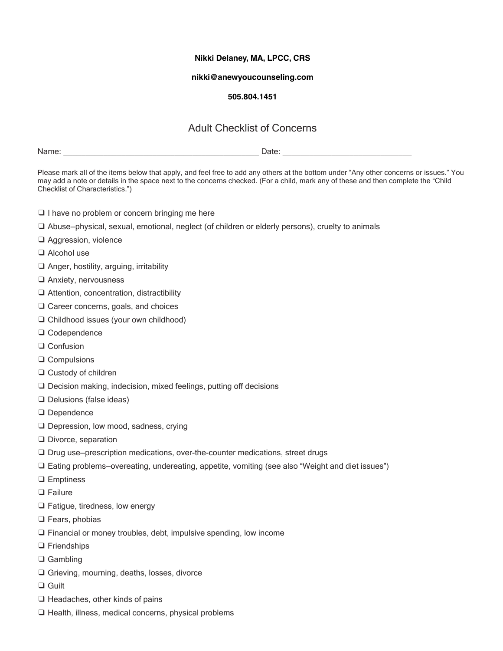## **Nikki Delaney, MA, LPCC, CRS**

## **nikki@anewyoucounseling.com**

## **505.804.1451**

## Adult Checklist of Concerns

Name: \_\_\_\_\_\_\_\_\_\_\_\_\_\_\_\_\_\_\_\_\_\_\_\_\_\_\_\_\_\_\_\_\_\_\_\_\_\_\_\_\_\_\_\_ Date: \_\_\_\_\_\_\_\_\_\_\_\_\_\_\_\_\_\_\_\_\_\_\_\_\_\_\_\_\_

Please mark all of the items below that apply, and feel free to add any others at the bottom under "Any other concerns or issues." You may add a note or details in the space next to the concerns checked. (For a child, mark any of these and then complete the "Child Checklist of Characteristics.")

- ❑ I have no problem or concern bringing me here
- ❑ Abuse—physical, sexual, emotional, neglect (of children or elderly persons), cruelty to animals
- ❑ Aggression, violence
- ❑ Alcohol use
- ❑ Anger, hostility, arguing, irritability
- ❑ Anxiety, nervousness
- ❑ Attention, concentration, distractibility
- ❑ Career concerns, goals, and choices
- ❑ Childhood issues (your own childhood)
- ❑ Codependence
- ❑ Confusion
- ❑ Compulsions
- ❑ Custody of children
- ❑ Decision making, indecision, mixed feelings, putting off decisions
- ❑ Delusions (false ideas)
- ❑ Dependence
- ❑ Depression, low mood, sadness, crying
- ❑ Divorce, separation
- ❑ Drug use—prescription medications, over-the-counter medications, street drugs
- ❑ Eating problems—overeating, undereating, appetite, vomiting (see also "Weight and diet issues")
- ❑ Emptiness
- ❑ Failure
- ❑ Fatigue, tiredness, low energy
- ❑ Fears, phobias
- ❑ Financial or money troubles, debt, impulsive spending, low income
- ❑ Friendships
- ❑ Gambling
- ❑ Grieving, mourning, deaths, losses, divorce
- ❑ Guilt
- ❑ Headaches, other kinds of pains
- ❑ Health, illness, medical concerns, physical problems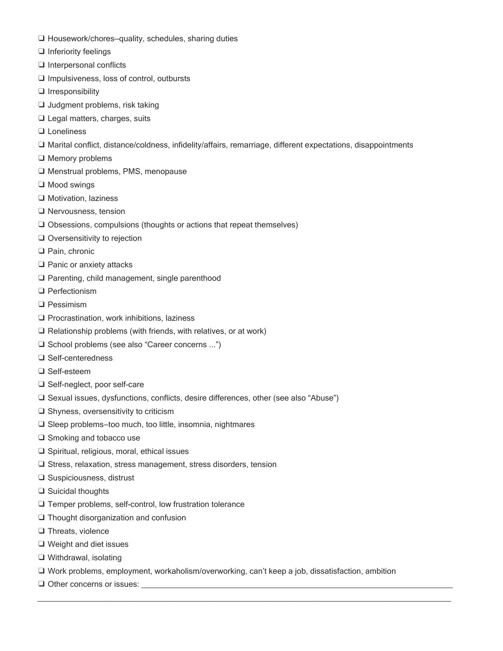- ❑ Housework/chores—quality, schedules, sharing duties
- ❑ Inferiority feelings
- ❑ Interpersonal conflicts
- ❑ Impulsiveness, loss of control, outbursts
- ❑ Irresponsibility
- ❑ Judgment problems, risk taking
- ❑ Legal matters, charges, suits
- ❑ Loneliness
- ❑ Marital conflict, distance/coldness, infidelity/affairs, remarriage, different expectations, disappointments
- ❑ Memory problems
- ❑ Menstrual problems, PMS, menopause
- ❑ Mood swings
- ❑ Motivation, laziness
- ❑ Nervousness, tension
- ❑ Obsessions, compulsions (thoughts or actions that repeat themselves)
- ❑ Oversensitivity to rejection
- ❑ Pain, chronic
- ❑ Panic or anxiety attacks
- ❑ Parenting, child management, single parenthood
- ❑ Perfectionism
- ❑ Pessimism
- ❑ Procrastination, work inhibitions, laziness
- ❑ Relationship problems (with friends, with relatives, or at work)
- ❑ School problems (see also "Career concerns ...")
- ❑ Self-centeredness
- ❑ Self-esteem
- ❑ Self-neglect, poor self-care
- ❑ Sexual issues, dysfunctions, conflicts, desire differences, other (see also "Abuse")
- ❑ Shyness, oversensitivity to criticism
- ❑ Sleep problems—too much, too little, insomnia, nightmares
- ❑ Smoking and tobacco use
- ❑ Spiritual, religious, moral, ethical issues
- ❑ Stress, relaxation, stress management, stress disorders, tension
- ❑ Suspiciousness, distrust
- ❑ Suicidal thoughts
- ❑ Temper problems, self-control, low frustration tolerance
- ❑ Thought disorganization and confusion
- ❑ Threats, violence
- ❑ Weight and diet issues
- ❑ Withdrawal, isolating
- ❑ Work problems, employment, workaholism/overworking, can't keep a job, dissatisfaction, ambition

 $\_$  ,  $\_$  ,  $\_$  ,  $\_$  ,  $\_$  ,  $\_$  ,  $\_$  ,  $\_$  ,  $\_$  ,  $\_$  ,  $\_$  ,  $\_$  ,  $\_$  ,  $\_$  ,  $\_$  ,  $\_$  ,  $\_$  ,  $\_$  ,  $\_$  ,  $\_$  ,  $\_$  ,  $\_$  ,  $\_$  ,  $\_$  ,  $\_$  ,  $\_$  ,  $\_$  ,  $\_$  ,  $\_$  ,  $\_$  ,  $\_$  ,  $\_$  ,  $\_$  ,  $\_$  ,  $\_$  ,  $\_$  ,  $\_$  ,

❑ Other concerns or issues: \_\_\_\_\_\_\_\_\_\_\_\_\_\_\_\_\_\_\_\_\_\_\_\_\_\_\_\_\_\_\_\_\_\_\_\_\_\_\_\_\_\_\_\_\_\_\_\_\_\_\_\_\_\_\_\_\_\_\_\_\_\_\_\_\_\_\_\_\_\_